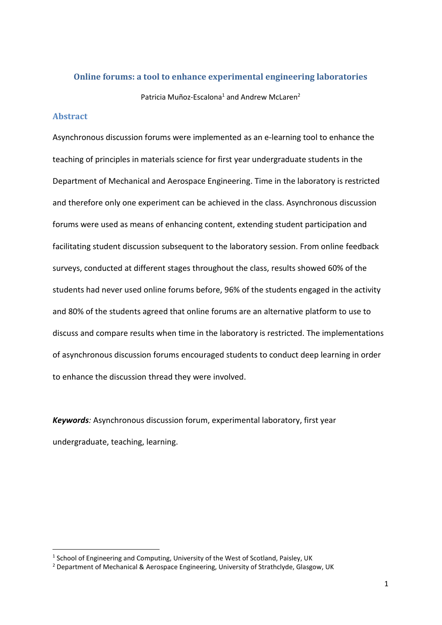### **Online forums: a tool to enhance experimental engineering laboratories**

Patricia Muñoz-Escalona<sup>1</sup> and Andrew McLaren<sup>2</sup>

#### **Abstract**

 $\overline{\phantom{a}}$ 

Asynchronous discussion forums were implemented as an e-learning tool to enhance the teaching of principles in materials science for first year undergraduate students in the Department of Mechanical and Aerospace Engineering. Time in the laboratory is restricted and therefore only one experiment can be achieved in the class. Asynchronous discussion forums were used as means of enhancing content, extending student participation and facilitating student discussion subsequent to the laboratory session. From online feedback surveys, conducted at different stages throughout the class, results showed 60% of the students had never used online forums before, 96% of the students engaged in the activity and 80% of the students agreed that online forums are an alternative platform to use to discuss and compare results when time in the laboratory is restricted. The implementations of asynchronous discussion forums encouraged students to conduct deep learning in order to enhance the discussion thread they were involved.

*Keywords:* Asynchronous discussion forum, experimental laboratory, first year undergraduate, teaching, learning.

 $<sup>1</sup>$  School of Engineering and Computing, University of the West of Scotland, Paisley, UK</sup>

<sup>2</sup> Department of Mechanical & Aerospace Engineering, University of Strathclyde, Glasgow, UK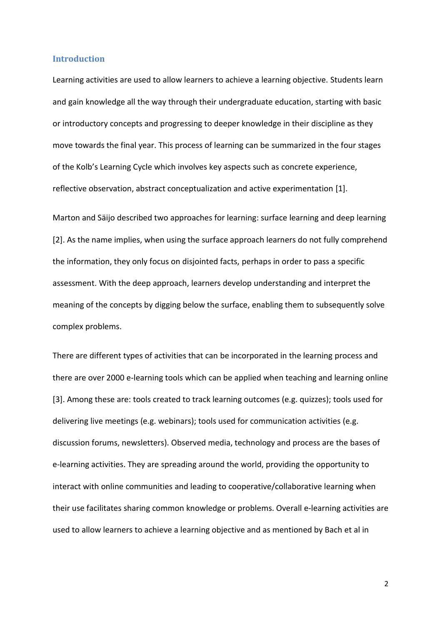#### **Introduction**

Learning activities are used to allow learners to achieve a learning objective. Students learn and gain knowledge all the way through their undergraduate education, starting with basic or introductory concepts and progressing to deeper knowledge in their discipline as they move towards the final year. This process of learning can be summarized in the four stages of the Kolb's Learning Cycle which involves key aspects such as concrete experience, reflective observation, abstract conceptualization and active experimentation [1].

Marton and Säijo described two approaches for learning: surface learning and deep learning [2]. As the name implies, when using the surface approach learners do not fully comprehend the information, they only focus on disjointed facts, perhaps in order to pass a specific assessment. With the deep approach, learners develop understanding and interpret the meaning of the concepts by digging below the surface, enabling them to subsequently solve complex problems.

There are different types of activities that can be incorporated in the learning process and there are over 2000 e-learning tools which can be applied when teaching and learning online [3]. Among these are: tools created to track learning outcomes (e.g. quizzes); tools used for delivering live meetings (e.g. webinars); tools used for communication activities (e.g. discussion forums, newsletters). Observed media, technology and process are the bases of e-learning activities. They are spreading around the world, providing the opportunity to interact with online communities and leading to cooperative/collaborative learning when their use facilitates sharing common knowledge or problems. Overall e-learning activities are used to allow learners to achieve a learning objective and as mentioned by Bach et al in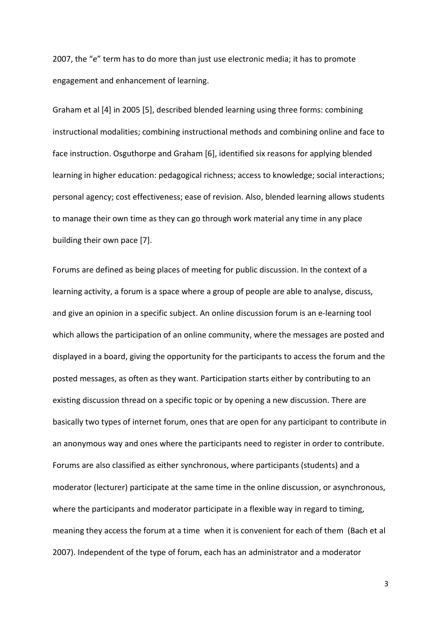2007, the "e" term has to do more than just use electronic media; it has to promote engagement and enhancement of learning.

Graham et al [4] in 2005 [5], described blended learning using three forms: combining instructional modalities; combining instructional methods and combining online and face to face instruction. Osguthorpe and Graham [6], identified six reasons for applying blended learning in higher education: pedagogical richness; access to knowledge; social interactions; personal agency; cost effectiveness; ease of revision. Also, blended learning allows students to manage their own time as they can go through work material any time in any place building their own pace [7].

Forums are defined as being places of meeting for public discussion. In the context of a learning activity, a forum is a space where a group of people are able to analyse, discuss, and give an opinion in a specific subject. An online discussion forum is an e-learning tool which allows the participation of an online community, where the messages are posted and displayed in a board, giving the opportunity for the participants to access the forum and the posted messages, as often as they want. Participation starts either by contributing to an existing discussion thread on a specific topic or by opening a new discussion. There are basically two types of internet forum, ones that are open for any participant to contribute in an anonymous way and ones where the participants need to register in order to contribute. Forums are also classified as either synchronous, where participants (students) and a moderator (lecturer) participate at the same time in the online discussion, or asynchronous, where the participants and moderator participate in a flexible way in regard to timing, meaning they access the forum at a time when it is convenient for each of them (Bach et al 2007). Independent of the type of forum, each has an administrator and a moderator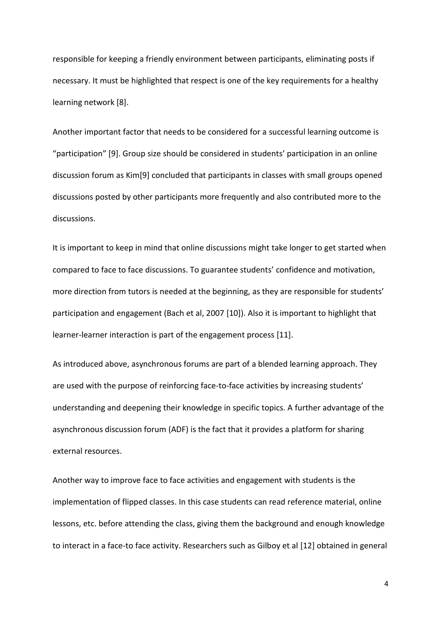responsible for keeping a friendly environment between participants, eliminating posts if necessary. It must be highlighted that respect is one of the key requirements for a healthy learning network [8].

Another important factor that needs to be considered for a successful learning outcome is "participation" [9]. Group size should be considered in students' participation in an online discussion forum as Kim[9] concluded that participants in classes with small groups opened discussions posted by other participants more frequently and also contributed more to the discussions.

It is important to keep in mind that online discussions might take longer to get started when compared to face to face discussions. To guarantee students' confidence and motivation, more direction from tutors is needed at the beginning, as they are responsible for students' participation and engagement (Bach et al, 2007 [10]). Also it is important to highlight that learner-learner interaction is part of the engagement process [11].

As introduced above, asynchronous forums are part of a blended learning approach. They are used with the purpose of reinforcing face-to-face activities by increasing students' understanding and deepening their knowledge in specific topics. A further advantage of the asynchronous discussion forum (ADF) is the fact that it provides a platform for sharing external resources.

Another way to improve face to face activities and engagement with students is the implementation of flipped classes. In this case students can read reference material, online lessons, etc. before attending the class, giving them the background and enough knowledge to interact in a face-to face activity. Researchers such as Gilboy et al [12] obtained in general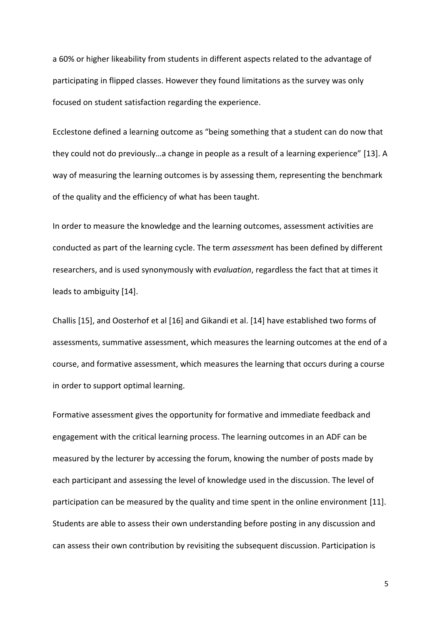a 60% or higher likeability from students in different aspects related to the advantage of participating in flipped classes. However they found limitations as the survey was only focused on student satisfaction regarding the experience.

Ecclestone defined a learning outcome as "being something that a student can do now that they could not do previously…a change in people as a result of a learning experience" [13]. A way of measuring the learning outcomes is by assessing them, representing the benchmark of the quality and the efficiency of what has been taught.

In order to measure the knowledge and the learning outcomes, assessment activities are conducted as part of the learning cycle. The term *assessmen*t has been defined by different researchers, and is used synonymously with *evaluation*, regardless the fact that at times it leads to ambiguity [14].

Challis [15], and Oosterhof et al [16] and Gikandi et al. [14] have established two forms of assessments, summative assessment, which measures the learning outcomes at the end of a course, and formative assessment, which measures the learning that occurs during a course in order to support optimal learning.

Formative assessment gives the opportunity for formative and immediate feedback and engagement with the critical learning process. The learning outcomes in an ADF can be measured by the lecturer by accessing the forum, knowing the number of posts made by each participant and assessing the level of knowledge used in the discussion. The level of participation can be measured by the quality and time spent in the online environment [11]. Students are able to assess their own understanding before posting in any discussion and can assess their own contribution by revisiting the subsequent discussion. Participation is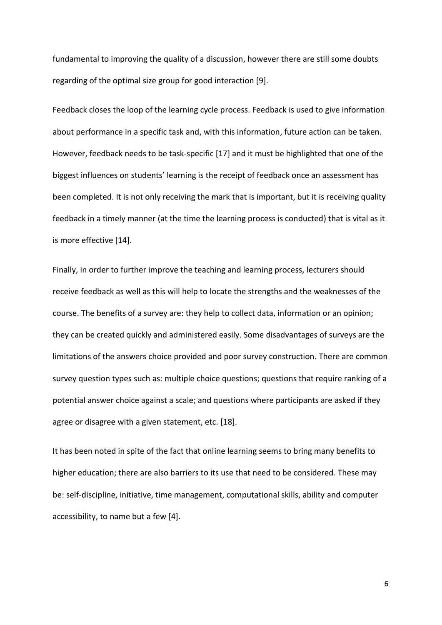fundamental to improving the quality of a discussion, however there are still some doubts regarding of the optimal size group for good interaction [9].

Feedback closes the loop of the learning cycle process. Feedback is used to give information about performance in a specific task and, with this information, future action can be taken. However, feedback needs to be task-specific [17] and it must be highlighted that one of the biggest influences on students' learning is the receipt of feedback once an assessment has been completed. It is not only receiving the mark that is important, but it is receiving quality feedback in a timely manner (at the time the learning process is conducted) that is vital as it is more effective [14].

Finally, in order to further improve the teaching and learning process, lecturers should receive feedback as well as this will help to locate the strengths and the weaknesses of the course. The benefits of a survey are: they help to collect data, information or an opinion; they can be created quickly and administered easily. Some disadvantages of surveys are the limitations of the answers choice provided and poor survey construction. There are common survey question types such as: multiple choice questions; questions that require ranking of a potential answer choice against a scale; and questions where participants are asked if they agree or disagree with a given statement, etc. [18].

It has been noted in spite of the fact that online learning seems to bring many benefits to higher education; there are also barriers to its use that need to be considered. These may be: self-discipline, initiative, time management, computational skills, ability and computer accessibility, to name but a few [4].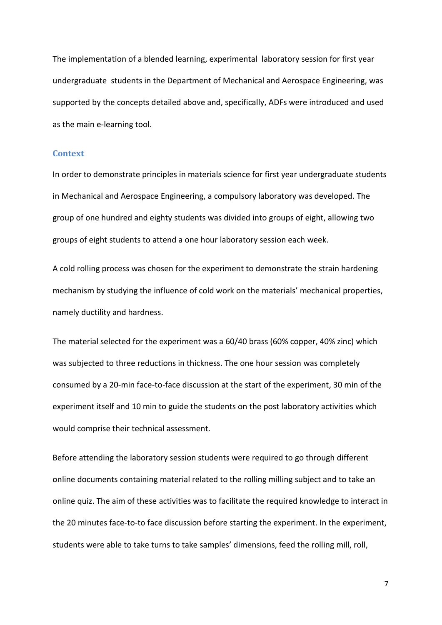The implementation of a blended learning, experimental laboratory session for first year undergraduate students in the Department of Mechanical and Aerospace Engineering, was supported by the concepts detailed above and, specifically, ADFs were introduced and used as the main e-learning tool.

#### **Context**

In order to demonstrate principles in materials science for first year undergraduate students in Mechanical and Aerospace Engineering, a compulsory laboratory was developed. The group of one hundred and eighty students was divided into groups of eight, allowing two groups of eight students to attend a one hour laboratory session each week.

A cold rolling process was chosen for the experiment to demonstrate the strain hardening mechanism by studying the influence of cold work on the materials' mechanical properties, namely ductility and hardness.

The material selected for the experiment was a 60/40 brass (60% copper, 40% zinc) which was subjected to three reductions in thickness. The one hour session was completely consumed by a 20-min face-to-face discussion at the start of the experiment, 30 min of the experiment itself and 10 min to guide the students on the post laboratory activities which would comprise their technical assessment.

Before attending the laboratory session students were required to go through different online documents containing material related to the rolling milling subject and to take an online quiz. The aim of these activities was to facilitate the required knowledge to interact in the 20 minutes face-to-to face discussion before starting the experiment. In the experiment, students were able to take turns to take samples' dimensions, feed the rolling mill, roll,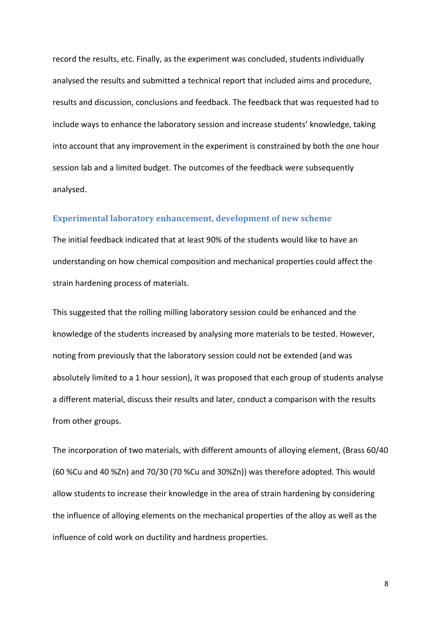record the results, etc. Finally, as the experiment was concluded, students individually analysed the results and submitted a technical report that included aims and procedure, results and discussion, conclusions and feedback. The feedback that was requested had to include ways to enhance the laboratory session and increase students' knowledge, taking into account that any improvement in the experiment is constrained by both the one hour session lab and a limited budget. The outcomes of the feedback were subsequently analysed.

#### **Experimental laboratory enhancement, development of new scheme**

The initial feedback indicated that at least 90% of the students would like to have an understanding on how chemical composition and mechanical properties could affect the strain hardening process of materials.

This suggested that the rolling milling laboratory session could be enhanced and the knowledge of the students increased by analysing more materials to be tested. However, noting from previously that the laboratory session could not be extended (and was absolutely limited to a 1 hour session), it was proposed that each group of students analyse a different material, discuss their results and later, conduct a comparison with the results from other groups.

The incorporation of two materials, with different amounts of alloying element, (Brass 60/40 (60 %Cu and 40 %Zn) and 70/30 (70 %Cu and 30%Zn)) was therefore adopted. This would allow students to increase their knowledge in the area of strain hardening by considering the influence of alloying elements on the mechanical properties of the alloy as well as the influence of cold work on ductility and hardness properties.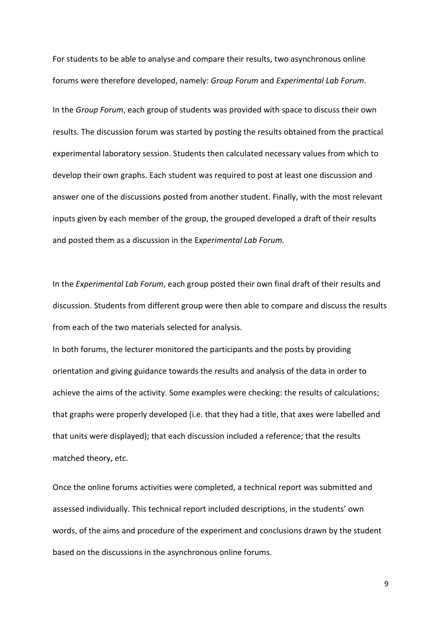For students to be able to analyse and compare their results, two asynchronous online forums were therefore developed, namely: *Group Forum* and *Experimental Lab Forum*.

In the *Group Forum*, each group of students was provided with space to discuss their own results. The discussion forum was started by posting the results obtained from the practical experimental laboratory session. Students then calculated necessary values from which to develop their own graphs. Each student was required to post at least one discussion and answer one of the discussions posted from another student. Finally, with the most relevant inputs given by each member of the group, the grouped developed a draft of their results and posted them as a discussion in the E*xperimental Lab Forum.* 

In the *Experimental Lab Forum*, each group posted their own final draft of their results and discussion. Students from different group were then able to compare and discuss the results from each of the two materials selected for analysis.

In both forums, the lecturer monitored the participants and the posts by providing orientation and giving guidance towards the results and analysis of the data in order to achieve the aims of the activity. Some examples were checking: the results of calculations; that graphs were properly developed (i.e. that they had a title, that axes were labelled and that units were displayed); that each discussion included a reference; that the results matched theory, etc.

Once the online forums activities were completed, a technical report was submitted and assessed individually. This technical report included descriptions, in the students' own words, of the aims and procedure of the experiment and conclusions drawn by the student based on the discussions in the asynchronous online forums.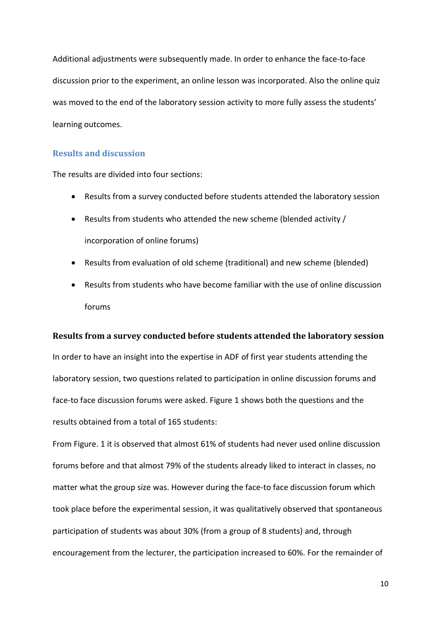Additional adjustments were subsequently made. In order to enhance the face-to-face discussion prior to the experiment, an online lesson was incorporated. Also the online quiz was moved to the end of the laboratory session activity to more fully assess the students' learning outcomes.

## **Results and discussion**

The results are divided into four sections:

- Results from a survey conducted before students attended the laboratory session
- Results from students who attended the new scheme (blended activity / incorporation of online forums)
- Results from evaluation of old scheme (traditional) and new scheme (blended)
- Results from students who have become familiar with the use of online discussion forums

# **Results from a survey conducted before students attended the laboratory session**

In order to have an insight into the expertise in ADF of first year students attending the laboratory session, two questions related to participation in online discussion forums and face-to face discussion forums were asked. Figure 1 shows both the questions and the results obtained from a total of 165 students:

From Figure. 1 it is observed that almost 61% of students had never used online discussion forums before and that almost 79% of the students already liked to interact in classes, no matter what the group size was. However during the face-to face discussion forum which took place before the experimental session, it was qualitatively observed that spontaneous participation of students was about 30% (from a group of 8 students) and, through encouragement from the lecturer, the participation increased to 60%. For the remainder of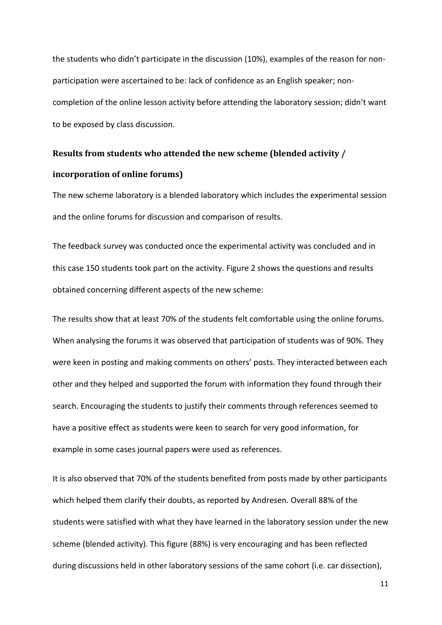the students who didn't participate in the discussion (10%), examples of the reason for nonparticipation were ascertained to be: lack of confidence as an English speaker; noncompletion of the online lesson activity before attending the laboratory session; didn't want to be exposed by class discussion.

# **Results from students who attended the new scheme (blended activity / incorporation of online forums)**

The new scheme laboratory is a blended laboratory which includes the experimental session and the online forums for discussion and comparison of results.

The feedback survey was conducted once the experimental activity was concluded and in this case 150 students took part on the activity. Figure 2 shows the questions and results obtained concerning different aspects of the new scheme:

The results show that at least 70% of the students felt comfortable using the online forums. When analysing the forums it was observed that participation of students was of 90%. They were keen in posting and making comments on others' posts. They interacted between each other and they helped and supported the forum with information they found through their search. Encouraging the students to justify their comments through references seemed to have a positive effect as students were keen to search for very good information, for example in some cases journal papers were used as references.

It is also observed that 70% of the students benefited from posts made by other participants which helped them clarify their doubts, as reported by Andresen. Overall 88% of the students were satisfied with what they have learned in the laboratory session under the new scheme (blended activity). This figure (88%) is very encouraging and has been reflected during discussions held in other laboratory sessions of the same cohort (i.e. car dissection),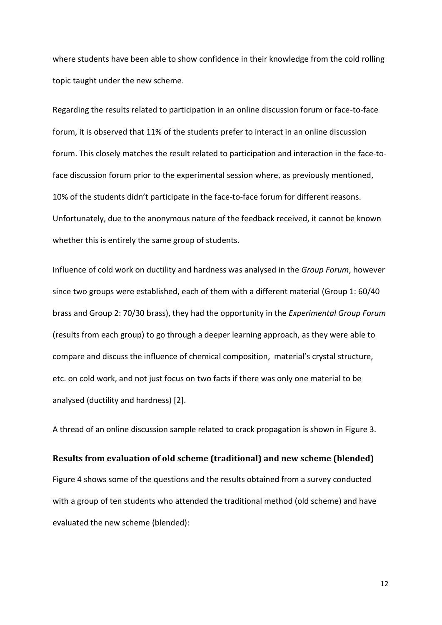where students have been able to show confidence in their knowledge from the cold rolling topic taught under the new scheme.

Regarding the results related to participation in an online discussion forum or face-to-face forum, it is observed that 11% of the students prefer to interact in an online discussion forum. This closely matches the result related to participation and interaction in the face-toface discussion forum prior to the experimental session where, as previously mentioned, 10% of the students didn't participate in the face-to-face forum for different reasons. Unfortunately, due to the anonymous nature of the feedback received, it cannot be known whether this is entirely the same group of students.

Influence of cold work on ductility and hardness was analysed in the *Group Forum*, however since two groups were established, each of them with a different material (Group 1: 60/40 brass and Group 2: 70/30 brass), they had the opportunity in the *Experimental Group Forum* (results from each group) to go through a deeper learning approach, as they were able to compare and discuss the influence of chemical composition, material's crystal structure, etc. on cold work, and not just focus on two facts if there was only one material to be analysed (ductility and hardness) [2].

A thread of an online discussion sample related to crack propagation is shown in Figure 3.

#### **Results from evaluation of old scheme (traditional) and new scheme (blended)**

Figure 4 shows some of the questions and the results obtained from a survey conducted with a group of ten students who attended the traditional method (old scheme) and have evaluated the new scheme (blended):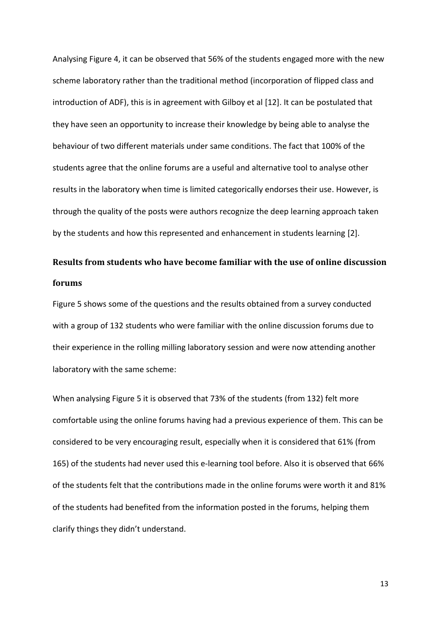Analysing Figure 4, it can be observed that 56% of the students engaged more with the new scheme laboratory rather than the traditional method (incorporation of flipped class and introduction of ADF), this is in agreement with Gilboy et al [12]. It can be postulated that they have seen an opportunity to increase their knowledge by being able to analyse the behaviour of two different materials under same conditions. The fact that 100% of the students agree that the online forums are a useful and alternative tool to analyse other results in the laboratory when time is limited categorically endorses their use. However, is through the quality of the posts were authors recognize the deep learning approach taken by the students and how this represented and enhancement in students learning [2].

# **Results from students who have become familiar with the use of online discussion forums**

Figure 5 shows some of the questions and the results obtained from a survey conducted with a group of 132 students who were familiar with the online discussion forums due to their experience in the rolling milling laboratory session and were now attending another laboratory with the same scheme:

When analysing Figure 5 it is observed that 73% of the students (from 132) felt more comfortable using the online forums having had a previous experience of them. This can be considered to be very encouraging result, especially when it is considered that 61% (from 165) of the students had never used this e-learning tool before. Also it is observed that 66% of the students felt that the contributions made in the online forums were worth it and 81% of the students had benefited from the information posted in the forums, helping them clarify things they didn't understand.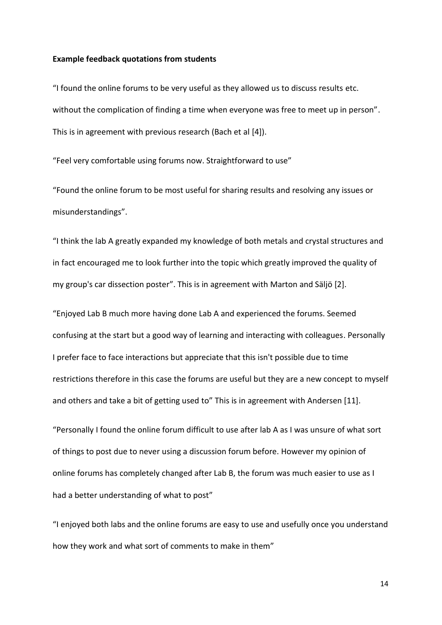#### **Example feedback quotations from students**

"I found the online forums to be very useful as they allowed us to discuss results etc. without the complication of finding a time when everyone was free to meet up in person". This is in agreement with previous research (Bach et al [4]).

"Feel very comfortable using forums now. Straightforward to use"

"Found the online forum to be most useful for sharing results and resolving any issues or misunderstandings".

"I think the lab A greatly expanded my knowledge of both metals and crystal structures and in fact encouraged me to look further into the topic which greatly improved the quality of my group's car dissection poster". This is in agreement with Marton and Säljö [2].

"Enjoyed Lab B much more having done Lab A and experienced the forums. Seemed confusing at the start but a good way of learning and interacting with colleagues. Personally I prefer face to face interactions but appreciate that this isn't possible due to time restrictions therefore in this case the forums are useful but they are a new concept to myself and others and take a bit of getting used to" This is in agreement with Andersen [11].

"Personally I found the online forum difficult to use after lab A as I was unsure of what sort of things to post due to never using a discussion forum before. However my opinion of online forums has completely changed after Lab B, the forum was much easier to use as I had a better understanding of what to post"

"I enjoyed both labs and the online forums are easy to use and usefully once you understand how they work and what sort of comments to make in them"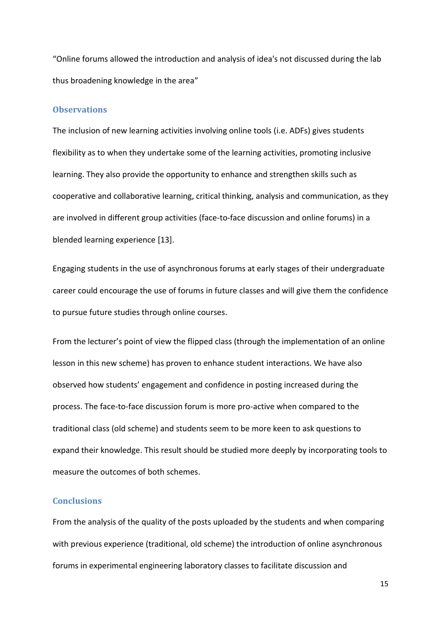"Online forums allowed the introduction and analysis of idea's not discussed during the lab thus broadening knowledge in the area"

# **Observations**

The inclusion of new learning activities involving online tools (i.e. ADFs) gives students flexibility as to when they undertake some of the learning activities, promoting inclusive learning. They also provide the opportunity to enhance and strengthen skills such as cooperative and collaborative learning, critical thinking, analysis and communication, as they are involved in different group activities (face-to-face discussion and online forums) in a blended learning experience [13].

Engaging students in the use of asynchronous forums at early stages of their undergraduate career could encourage the use of forums in future classes and will give them the confidence to pursue future studies through online courses.

From the lecturer's point of view the flipped class (through the implementation of an online lesson in this new scheme) has proven to enhance student interactions. We have also observed how students' engagement and confidence in posting increased during the process. The face-to-face discussion forum is more pro-active when compared to the traditional class (old scheme) and students seem to be more keen to ask questions to expand their knowledge. This result should be studied more deeply by incorporating tools to measure the outcomes of both schemes.

# **Conclusions**

From the analysis of the quality of the posts uploaded by the students and when comparing with previous experience (traditional, old scheme) the introduction of online asynchronous forums in experimental engineering laboratory classes to facilitate discussion and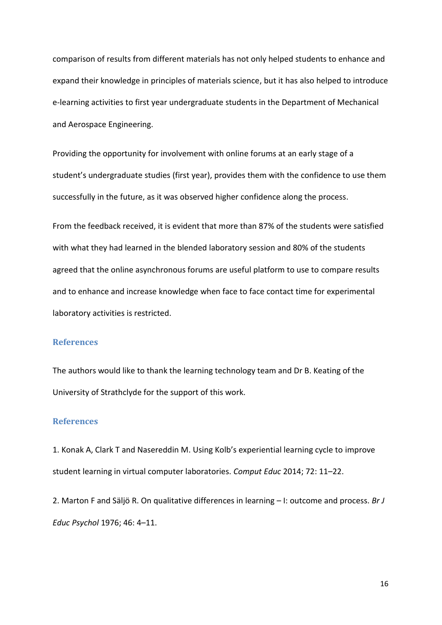comparison of results from different materials has not only helped students to enhance and expand their knowledge in principles of materials science, but it has also helped to introduce e-learning activities to first year undergraduate students in the Department of Mechanical and Aerospace Engineering.

Providing the opportunity for involvement with online forums at an early stage of a student's undergraduate studies (first year), provides them with the confidence to use them successfully in the future, as it was observed higher confidence along the process.

From the feedback received, it is evident that more than 87% of the students were satisfied with what they had learned in the blended laboratory session and 80% of the students agreed that the online asynchronous forums are useful platform to use to compare results and to enhance and increase knowledge when face to face contact time for experimental laboratory activities is restricted.

#### **References**

The authors would like to thank the learning technology team and Dr B. Keating of the University of Strathclyde for the support of this work.

# **References**

1. Konak A, Clark T and Nasereddin M. Using Kolb's experiential learning cycle to improve student learning in virtual computer laboratories. *Comput Educ* 2014; 72: 11–22.

2. Marton F and Säljö R. On qualitative differences in learning – I: outcome and process. *Br J Educ Psychol* 1976; 46: 4–11.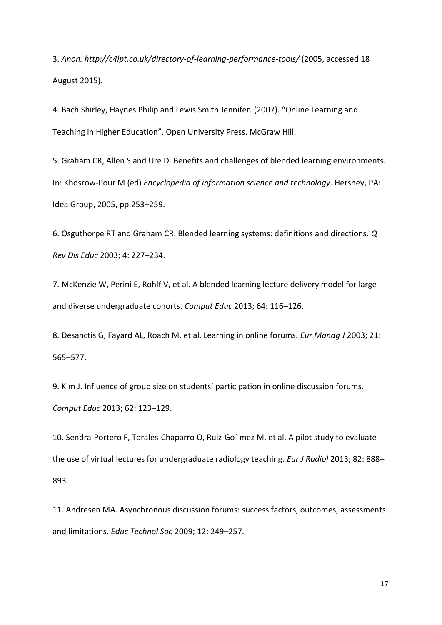3. *Anon. http://c4lpt.co.uk/directory-of-learning-performance-tools/* (2005, accessed 18 August 2015).

4. Bach Shirley, Haynes Philip and Lewis Smith Jennifer. (2007). "Online Learning and Teaching in Higher Education". Open University Press. McGraw Hill.

5. Graham CR, Allen S and Ure D. Benefits and challenges of blended learning environments. In: Khosrow-Pour M (ed) *Encyclopedia of information science and technology*. Hershey, PA: Idea Group, 2005, pp.253–259.

6. Osguthorpe RT and Graham CR. Blended learning systems: definitions and directions. *Q Rev Dis Educ* 2003; 4: 227–234.

7. McKenzie W, Perini E, Rohlf V, et al. A blended learning lecture delivery model for large and diverse undergraduate cohorts. *Comput Educ* 2013; 64: 116–126.

8. Desanctis G, Fayard AL, Roach M, et al. Learning in online forums. *Eur Manag J* 2003; 21: 565–577.

9. Kim J. Influence of group size on students' participation in online discussion forums. *Comput Educ* 2013; 62: 123–129.

10. Sendra-Portero F, Torales-Chaparro O, Ruiz-Go´ mez M, et al. A pilot study to evaluate the use of virtual lectures for undergraduate radiology teaching. *Eur J Radiol* 2013; 82: 888– 893.

11. Andresen MA. Asynchronous discussion forums: success factors, outcomes, assessments and limitations. *Educ Technol Soc* 2009; 12: 249–257.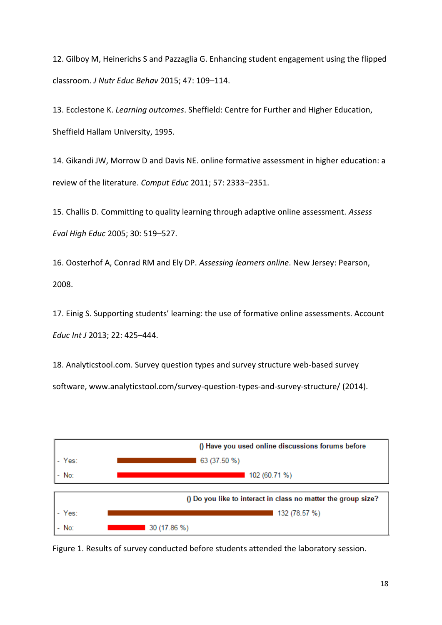12. Gilboy M, Heinerichs S and Pazzaglia G. Enhancing student engagement using the flipped classroom. *J Nutr Educ Behav* 2015; 47: 109–114.

13. Ecclestone K. *Learning outcomes*. Sheffield: Centre for Further and Higher Education, Sheffield Hallam University, 1995.

14. Gikandi JW, Morrow D and Davis NE. online formative assessment in higher education: a review of the literature. *Comput Educ* 2011; 57: 2333–2351.

15. Challis D. Committing to quality learning through adaptive online assessment. *Assess Eval High Educ* 2005; 30: 519–527.

16. Oosterhof A, Conrad RM and Ely DP. *Assessing learners online*. New Jersey: Pearson, 2008.

17. Einig S. Supporting students' learning: the use of formative online assessments. Account *Educ Int J* 2013; 22: 425–444.

18. Analyticstool.com. Survey question types and survey structure web-based survey software, www.analyticstool.com/survey-question-types-and-survey-structure/ (2014).



Figure 1. Results of survey conducted before students attended the laboratory session.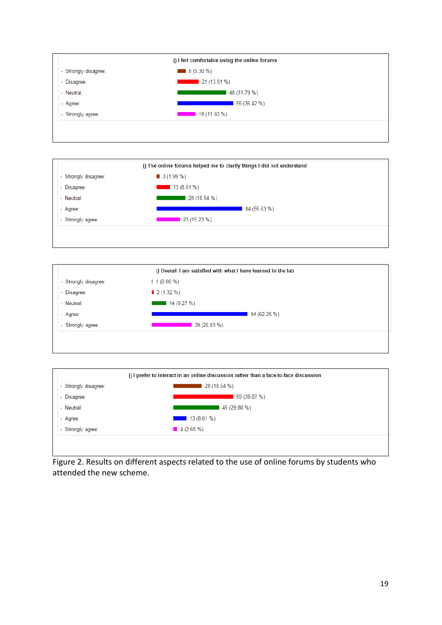







Figure 2. Results on different aspects related to the use of online forums by students who attended the new scheme.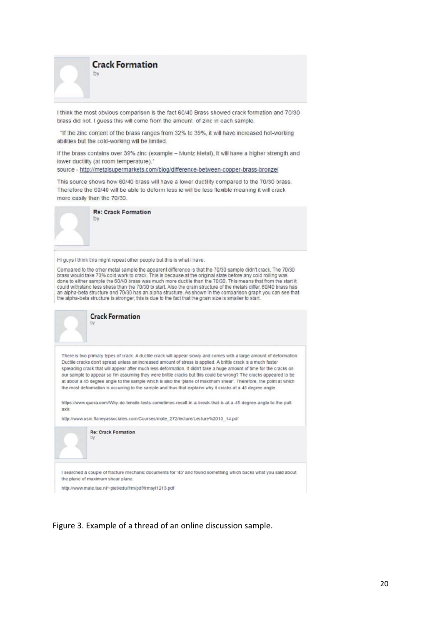**Crack Formation** 

I think the most obvious comparison is the fact 60/40 Brass showed crack formation and 70/30 brass did not. I guess this will come from the amount of zinc in each sample.

"If the zinc content of the brass ranges from 32% to 39%, it will have increased hot-working abilities but the cold-working will be limited.

If the brass contains over 39% zinc (example - Muntz Metal), it will have a higher strength and lower ductility (at room temperature)."

source - http://metalsupermarkets.com/blog/difference-between-copper-brass-bronze/

This source shows how 60/40 brass will have a lower ductility compared to the 70/30 brass. Therefore the 60/40 will be able to deform less ie will be less flexible meaning it will crack more easily than the 70/30.



Hi guys I think this might repeat other people but this is what i have.

Compared to the other metal sample the apparent difference is that the 70/30 sample didn't crack. The 70/30 brass would take 70% cold work to crack. This is because at the original state before any cold rolling was done to either sample the 60/40 brass was much more ductile than the 70/30. This means that from the start it could withstand less stress than the 70/30 to start. Also the grain structure of the metals differ. 60/40 brass has an alpha-beta structure and 70/30 has an alpha structure. As shown in the comparison graph you can see that the alpha-beta structure is stronger, this is due to the fact that the grain size is smaller to start.



http://www.mate.tue.nl/~piet/edu/frm/pdf/frmsyl1213.pdf

Figure 3. Example of a thread of an online discussion sample.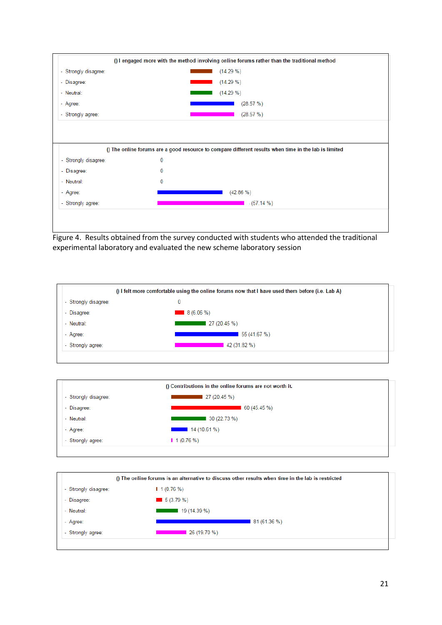

Figure 4. Results obtained from the survey conducted with students who attended the traditional experimental laboratory and evaluated the new scheme laboratory session